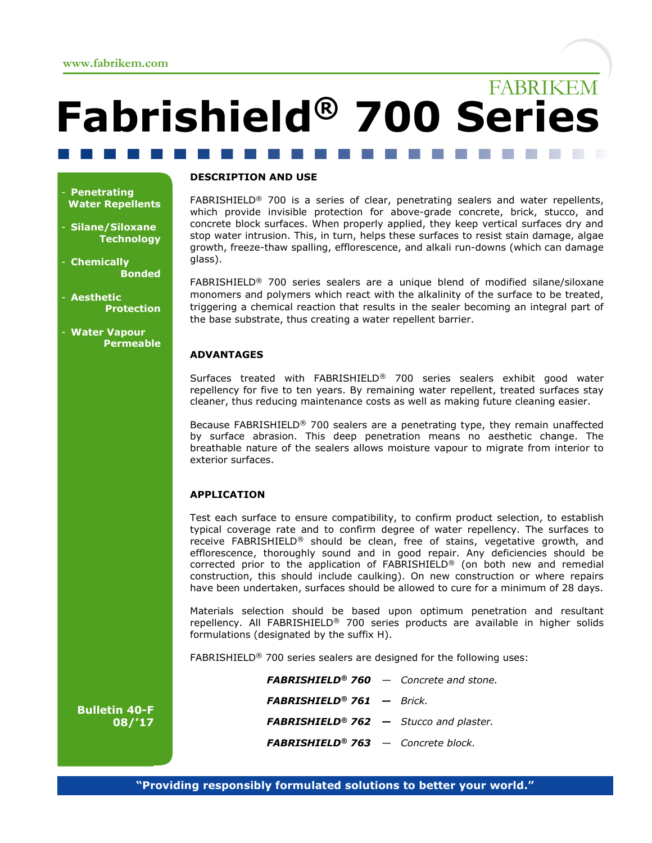# FABRIKEM Fabrishield® 700 Series

#### **Penetrating** Water Repellents

Silane/Siloxane **Technology** 

**Chemically** Bonded

**Aesthetic Protection** 

**Water Vapour Permeable** 

#### DESCRIPTION AND USE

FABRISHIELD® 700 is a series of clear, penetrating sealers and water repellents, which provide invisible protection for above-grade concrete, brick, stucco, and concrete block surfaces. When properly applied, they keep vertical surfaces dry and stop water intrusion. This, in turn, helps these surfaces to resist stain damage, algae growth, freeze-thaw spalling, efflorescence, and alkali run-downs (which can damage glass).

FABRISHIELD® 700 series sealers are a unique blend of modified silane/siloxane monomers and polymers which react with the alkalinity of the surface to be treated, triggering a chemical reaction that results in the sealer becoming an integral part of the base substrate, thus creating a water repellent barrier.

### ADVANTAGES

Surfaces treated with FABRISHIELD® 700 series sealers exhibit good water repellency for five to ten years. By remaining water repellent, treated surfaces stay cleaner, thus reducing maintenance costs as well as making future cleaning easier.

Because FABRISHIELD® 700 sealers are a penetrating type, they remain unaffected by surface abrasion. This deep penetration means no aesthetic change. The breathable nature of the sealers allows moisture vapour to migrate from interior to exterior surfaces.

# APPLICATION

Test each surface to ensure compatibility, to confirm product selection, to establish typical coverage rate and to confirm degree of water repellency. The surfaces to receive FABRISHIELD® should be clean, free of stains, vegetative growth, and efflorescence, thoroughly sound and in good repair. Any deficiencies should be corrected prior to the application of FABRISHIELD® (on both new and remedial construction, this should include caulking). On new construction or where repairs have been undertaken, surfaces should be allowed to cure for a minimum of 28 days.

Materials selection should be based upon optimum penetration and resultant repellency. All FABRISHIELD® 700 series products are available in higher solids formulations (designated by the suffix H).

FABRISHIELD® 700 series sealers are designed for the following uses:

**FABRISHIELD<sup>®</sup> 760**  $-$  Concrete and stone. FABRISHIELD<sup>®</sup> 761 - Brick. **FABRISHIELD® 762**  $-$  Stucco and plaster.  $FABRISHIELD<sup>®</sup> 763$  - Concrete block.

Bulletin 40-F 08/'17